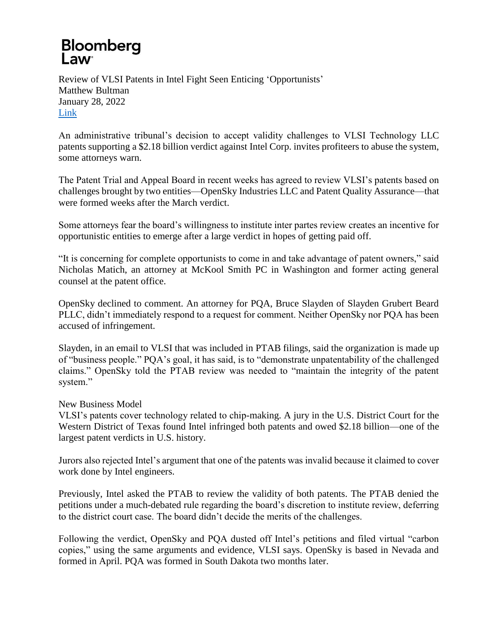## **Bloomberg** Law<sup>®</sup>

Review of VLSI Patents in Intel Fight Seen Enticing 'Opportunists' Matthew Bultman January 28, 2022 [Link](https://news.bloomberglaw.com/ip-law/review-of-vlsi-patents-in-intel-fight-seen-enticing-opportunists)

An administrative tribunal's decision to accept validity challenges to VLSI Technology LLC patents supporting a \$2.18 billion verdict against Intel Corp. invites profiteers to abuse the system, some attorneys warn.

The Patent Trial and Appeal Board in recent weeks has agreed to review VLSI's patents based on challenges brought by two entities—OpenSky Industries LLC and Patent Quality Assurance—that were formed weeks after the March verdict.

Some attorneys fear the board's willingness to institute inter partes review creates an incentive for opportunistic entities to emerge after a large verdict in hopes of getting paid off.

"It is concerning for complete opportunists to come in and take advantage of patent owners," said Nicholas Matich, an attorney at McKool Smith PC in Washington and former acting general counsel at the patent office.

OpenSky declined to comment. An attorney for PQA, Bruce Slayden of Slayden Grubert Beard PLLC, didn't immediately respond to a request for comment. Neither OpenSky nor PQA has been accused of infringement.

Slayden, in an email to VLSI that was included in PTAB filings, said the organization is made up of "business people." PQA's goal, it has said, is to "demonstrate unpatentability of the challenged claims." OpenSky told the PTAB review was needed to "maintain the integrity of the patent system."

New Business Model

VLSI's patents cover technology related to chip-making. A jury in the U.S. District Court for the Western District of Texas found Intel infringed both patents and owed \$2.18 billion—one of the largest patent verdicts in U.S. history.

Jurors also rejected Intel's argument that one of the patents was invalid because it claimed to cover work done by Intel engineers.

Previously, Intel asked the PTAB to review the validity of both patents. The PTAB denied the petitions under a much-debated rule regarding the board's discretion to institute review, deferring to the district court case. The board didn't decide the merits of the challenges.

Following the verdict, OpenSky and PQA dusted off Intel's petitions and filed virtual "carbon copies," using the same arguments and evidence, VLSI says. OpenSky is based in Nevada and formed in April. PQA was formed in South Dakota two months later.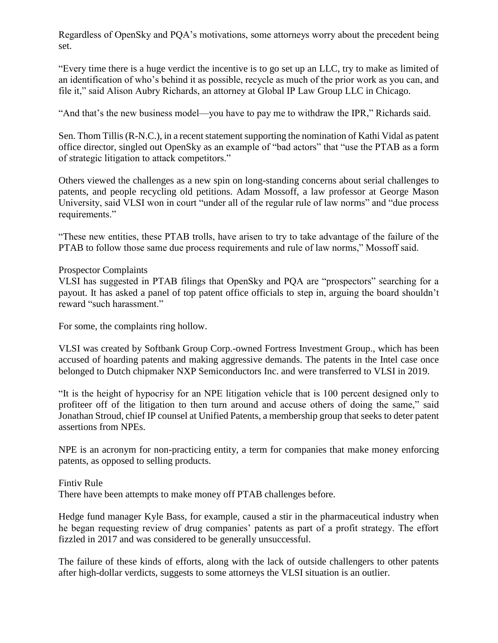Regardless of OpenSky and PQA's motivations, some attorneys worry about the precedent being set.

"Every time there is a huge verdict the incentive is to go set up an LLC, try to make as limited of an identification of who's behind it as possible, recycle as much of the prior work as you can, and file it," said Alison Aubry Richards, an attorney at Global IP Law Group LLC in Chicago.

"And that's the new business model—you have to pay me to withdraw the IPR," Richards said.

Sen. Thom Tillis (R-N.C.), in a recent statement supporting the nomination of Kathi Vidal as patent office director, singled out OpenSky as an example of "bad actors" that "use the PTAB as a form of strategic litigation to attack competitors."

Others viewed the challenges as a new spin on long-standing concerns about serial challenges to patents, and people recycling old petitions. Adam Mossoff, a law professor at George Mason University, said VLSI won in court "under all of the regular rule of law norms" and "due process requirements."

"These new entities, these PTAB trolls, have arisen to try to take advantage of the failure of the PTAB to follow those same due process requirements and rule of law norms," Mossoff said.

## Prospector Complaints

VLSI has suggested in PTAB filings that OpenSky and PQA are "prospectors" searching for a payout. It has asked a panel of top patent office officials to step in, arguing the board shouldn't reward "such harassment."

For some, the complaints ring hollow.

VLSI was created by Softbank Group Corp.-owned Fortress Investment Group., which has been accused of hoarding patents and making aggressive demands. The patents in the Intel case once belonged to Dutch chipmaker NXP Semiconductors Inc. and were transferred to VLSI in 2019.

"It is the height of hypocrisy for an NPE litigation vehicle that is 100 percent designed only to profiteer off of the litigation to then turn around and accuse others of doing the same," said Jonathan Stroud, chief IP counsel at Unified Patents, a membership group that seeks to deter patent assertions from NPEs.

NPE is an acronym for non-practicing entity, a term for companies that make money enforcing patents, as opposed to selling products.

Fintiv Rule There have been attempts to make money off PTAB challenges before.

Hedge fund manager Kyle Bass, for example, caused a stir in the pharmaceutical industry when he began requesting review of drug companies' patents as part of a profit strategy. The effort fizzled in 2017 and was considered to be generally unsuccessful.

The failure of these kinds of efforts, along with the lack of outside challengers to other patents after high-dollar verdicts, suggests to some attorneys the VLSI situation is an outlier.